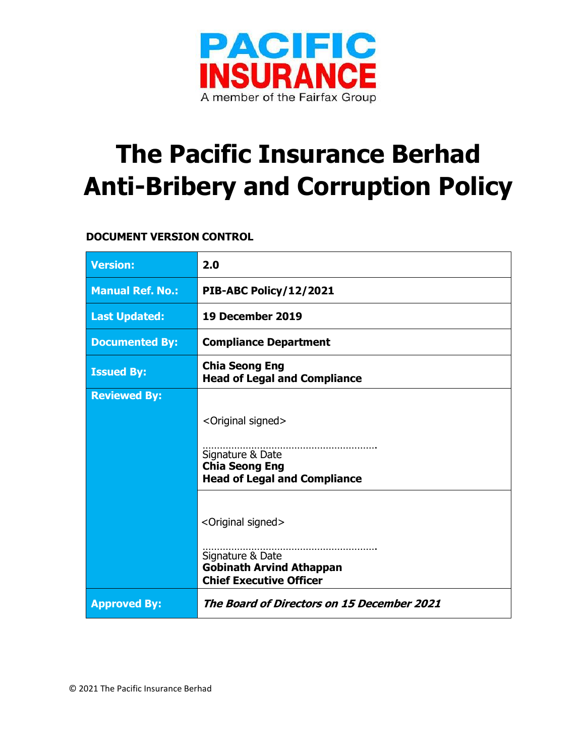

# **The Pacific Insurance Berhad Anti-Bribery and Corruption Policy**

# **DOCUMENT VERSION CONTROL**

| <b>Version:</b>         | 2.0                                                                                                                             |
|-------------------------|---------------------------------------------------------------------------------------------------------------------------------|
| <b>Manual Ref. No.:</b> | PIB-ABC Policy/12/2021                                                                                                          |
| <b>Last Updated:</b>    | 19 December 2019                                                                                                                |
| <b>Documented By:</b>   | <b>Compliance Department</b>                                                                                                    |
| <b>Issued By:</b>       | <b>Chia Seong Eng</b><br><b>Head of Legal and Compliance</b>                                                                    |
| <b>Reviewed By:</b>     |                                                                                                                                 |
|                         | <original signed=""></original>                                                                                                 |
|                         | Signature & Date<br><b>Chia Seong Eng</b><br><b>Head of Legal and Compliance</b>                                                |
|                         | <original signed=""><br/>Signature &amp; Date<br/><b>Gobinath Arvind Athappan</b><br/><b>Chief Executive Officer</b></original> |
| <b>Approved By:</b>     | The Board of Directors on 15 December 2021                                                                                      |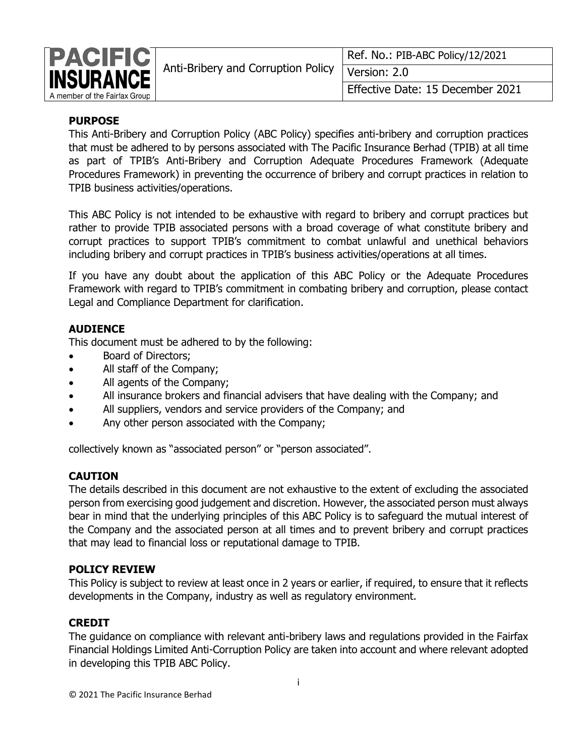

|                                                  | Ref. No.: PIB-ABC Policy/12/2021 |  |
|--------------------------------------------------|----------------------------------|--|
| Anti-Bribery and Corruption Policy Tversion: 2.0 |                                  |  |
|                                                  | Effective Date: 15 December 2021 |  |

# **PURPOSE**

This Anti-Bribery and Corruption Policy (ABC Policy) specifies anti-bribery and corruption practices that must be adhered to by persons associated with The Pacific Insurance Berhad (TPIB) at all time as part of TPIB's Anti-Bribery and Corruption Adequate Procedures Framework (Adequate Procedures Framework) in preventing the occurrence of bribery and corrupt practices in relation to TPIB business activities/operations.

This ABC Policy is not intended to be exhaustive with regard to bribery and corrupt practices but rather to provide TPIB associated persons with a broad coverage of what constitute bribery and corrupt practices to support TPIB's commitment to combat unlawful and unethical behaviors including bribery and corrupt practices in TPIB's business activities/operations at all times.

If you have any doubt about the application of this ABC Policy or the Adequate Procedures Framework with regard to TPIB's commitment in combating bribery and corruption, please contact Legal and Compliance Department for clarification.

# **AUDIENCE**

This document must be adhered to by the following:

- Board of Directors;
- All staff of the Company;
- All agents of the Company;
- All insurance brokers and financial advisers that have dealing with the Company; and
- All suppliers, vendors and service providers of the Company; and
- Any other person associated with the Company;

collectively known as "associated person" or "person associated".

## **CAUTION**

The details described in this document are not exhaustive to the extent of excluding the associated person from exercising good judgement and discretion. However, the associated person must always bear in mind that the underlying principles of this ABC Policy is to safeguard the mutual interest of the Company and the associated person at all times and to prevent bribery and corrupt practices that may lead to financial loss or reputational damage to TPIB.

## **POLICY REVIEW**

This Policy is subject to review at least once in 2 years or earlier, if required, to ensure that it reflects developments in the Company, industry as well as regulatory environment.

# **CREDIT**

The guidance on compliance with relevant anti-bribery laws and regulations provided in the Fairfax Financial Holdings Limited Anti-Corruption Policy are taken into account and where relevant adopted in developing this TPIB ABC Policy.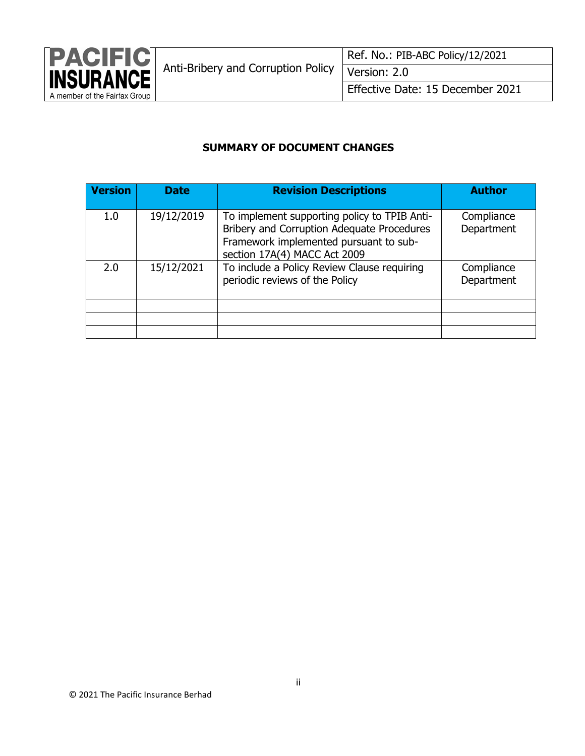

# **SUMMARY OF DOCUMENT CHANGES**

| <b>Version</b> | <b>Date</b> | <b>Revision Descriptions</b>                                                                                                                                         | <b>Author</b>            |
|----------------|-------------|----------------------------------------------------------------------------------------------------------------------------------------------------------------------|--------------------------|
| 1.0            | 19/12/2019  | To implement supporting policy to TPIB Anti-<br>Bribery and Corruption Adequate Procedures<br>Framework implemented pursuant to sub-<br>section 17A(4) MACC Act 2009 | Compliance<br>Department |
| 2.0            | 15/12/2021  | To include a Policy Review Clause requiring<br>periodic reviews of the Policy                                                                                        | Compliance<br>Department |
|                |             |                                                                                                                                                                      |                          |
|                |             |                                                                                                                                                                      |                          |
|                |             |                                                                                                                                                                      |                          |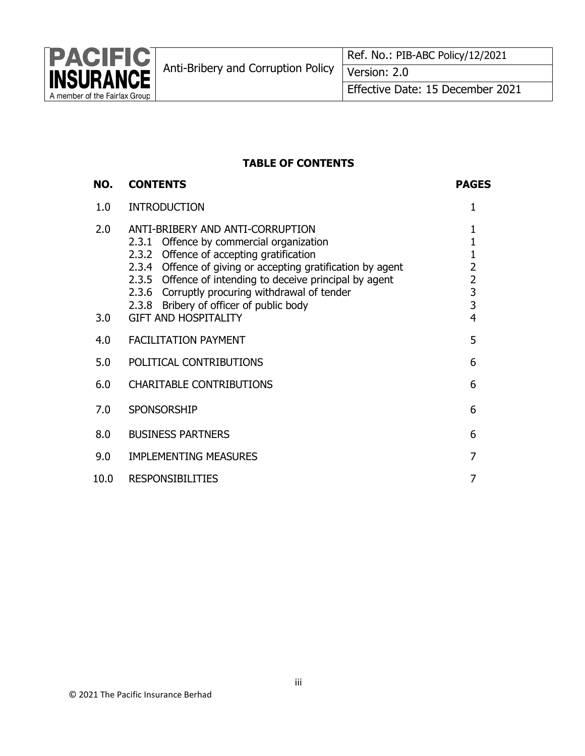

## **TABLE OF CONTENTS**

#### **NO. CONTENTS PAGES** 1.0 INTRODUCTION 1 2.0 ANTI-BRIBERY AND ANTI-CORRUPTION 2.3.1 Offence by commercial organization 2.3.2 Offence of accepting gratification 2.3.4 Offence of giving or accepting gratification by agent 2.3.5 Offence of intending to deceive principal by agent 2.3.6 Corruptly procuring withdrawal of tender 2.3.8 Bribery of officer of public body 1 1 1 2 2 3 3 3.0 GIFT AND HOSPITALITY 4 4.0 FACILITATION PAYMENT **1.1 AND 1.1 AND 1.1 AND 1.1 AND 1.1 AND 1.1 AND 1.1 AND 1.1 AND 1.1 AND 1.1 AND 1.1 AND 1.1 AND 1.1 AND 1.1 AND 1.1 AND 1.1 AND 1.1 AND 1.1 AND 1.1 AND 1.1 AND 1.1 AND 1.1 AND 1.1 AND 1.1 AND 1.1** 5.0 POLITICAL CONTRIBUTIONS 6 6.0 CHARITABLE CONTRIBUTIONS 6 7.0 SPONSORSHIP 6 8.0 BUSINESS PARTNERS 6 9.0 IMPLEMENTING MEASURES 7 10.0 RESPONSIBILITIES 7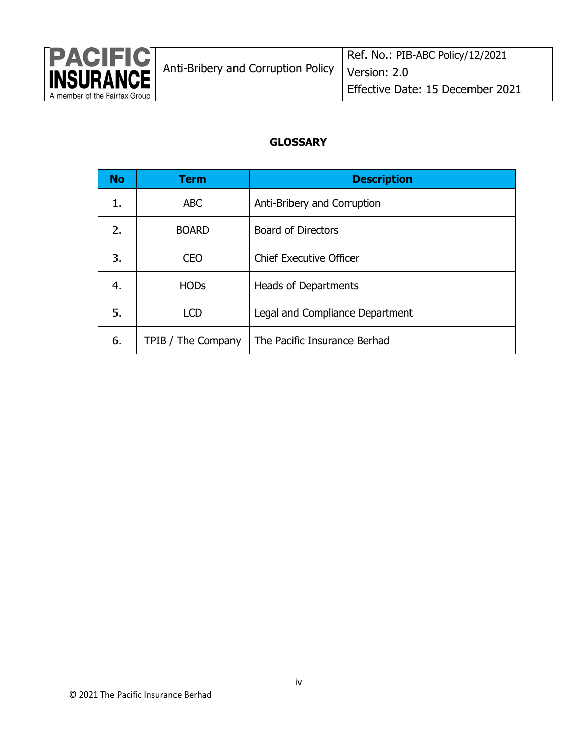

## **GLOSSARY**

| <b>No</b> | <b>Term</b>        | <b>Description</b>              |
|-----------|--------------------|---------------------------------|
| 1.        | <b>ABC</b>         | Anti-Bribery and Corruption     |
| 2.        | <b>BOARD</b>       | <b>Board of Directors</b>       |
| 3.        | CEO                | <b>Chief Executive Officer</b>  |
| 4.        | <b>HODs</b>        | <b>Heads of Departments</b>     |
| 5.        | <b>LCD</b>         | Legal and Compliance Department |
| 6.        | TPIB / The Company | The Pacific Insurance Berhad    |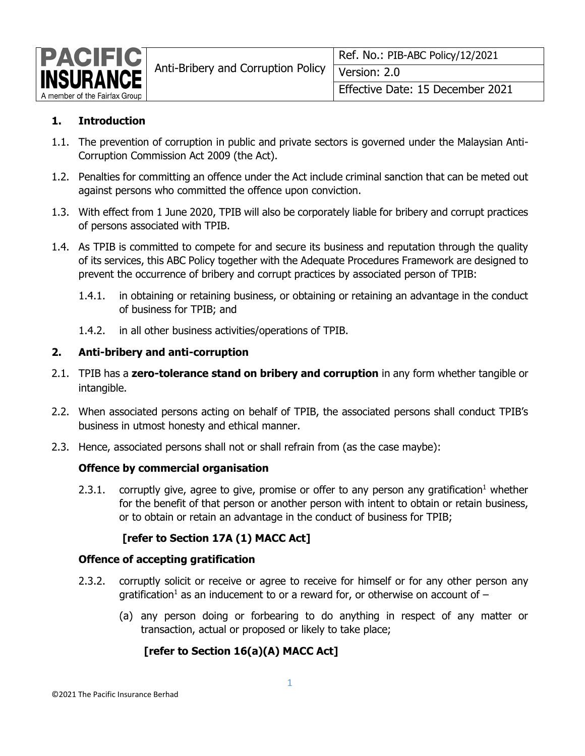

# **1. Introduction**

- 1.1. The prevention of corruption in public and private sectors is governed under the Malaysian Anti-Corruption Commission Act 2009 (the Act).
- 1.2. Penalties for committing an offence under the Act include criminal sanction that can be meted out against persons who committed the offence upon conviction.
- 1.3. With effect from 1 June 2020, TPIB will also be corporately liable for bribery and corrupt practices of persons associated with TPIB.
- 1.4. As TPIB is committed to compete for and secure its business and reputation through the quality of its services, this ABC Policy together with the Adequate Procedures Framework are designed to prevent the occurrence of bribery and corrupt practices by associated person of TPIB:
	- 1.4.1. in obtaining or retaining business, or obtaining or retaining an advantage in the conduct of business for TPIB; and
	- 1.4.2. in all other business activities/operations of TPIB.

## **2. Anti-bribery and anti-corruption**

- 2.1. TPIB has a **zero-tolerance stand on bribery and corruption** in any form whether tangible or intangible.
- 2.2. When associated persons acting on behalf of TPIB, the associated persons shall conduct TPIB's business in utmost honesty and ethical manner.
- 2.3. Hence, associated persons shall not or shall refrain from (as the case maybe):

# **Offence by commercial organisation**

2.3.1. corruptly give, agree to give, promise or offer to any person any gratification<sup>1</sup> whether for the benefit of that person or another person with intent to obtain or retain business, or to obtain or retain an advantage in the conduct of business for TPIB;

# **[refer to Section 17A (1) MACC Act]**

## **Offence of accepting gratification**

- 2.3.2. corruptly solicit or receive or agree to receive for himself or for any other person any gratification<sup>1</sup> as an inducement to or a reward for, or otherwise on account of  $-$ 
	- (a) any person doing or forbearing to do anything in respect of any matter or transaction, actual or proposed or likely to take place;

# **[refer to Section 16(a)(A) MACC Act]**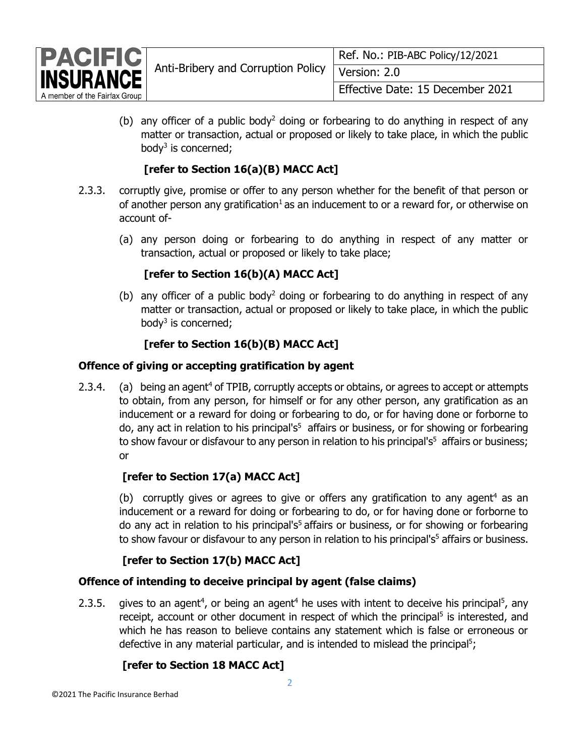

(b) any officer of a public body<sup>2</sup> doing or forbearing to do anything in respect of any matter or transaction, actual or proposed or likely to take place, in which the public body<sup>3</sup> is concerned;

# **[refer to Section 16(a)(B) MACC Act]**

- 2.3.3. corruptly give, promise or offer to any person whether for the benefit of that person or of another person any gratification<sup>1</sup> as an inducement to or a reward for, or otherwise on account of-
	- (a) any person doing or forbearing to do anything in respect of any matter or transaction, actual or proposed or likely to take place;

# **[refer to Section 16(b)(A) MACC Act]**

(b) any officer of a public body<sup>2</sup> doing or forbearing to do anything in respect of any matter or transaction, actual or proposed or likely to take place, in which the public body<sup>3</sup> is concerned;

# **[refer to Section 16(b)(B) MACC Act]**

## **Offence of giving or accepting gratification by agent**

2.3.4. (a) being an agent<sup>4</sup> of TPIB, corruptly accepts or obtains, or agrees to accept or attempts to obtain, from any person, for himself or for any other person, any gratification as an inducement or a reward for doing or forbearing to do, or for having done or forborne to do, any act in relation to his principal's<sup>5</sup> affairs or business, or for showing or forbearing to show favour or disfavour to any person in relation to his principal's<sup>5</sup> affairs or business; or

# **[refer to Section 17(a) MACC Act]**

(b) corruptly gives or agrees to give or offers any gratification to any agent<sup>4</sup> as an inducement or a reward for doing or forbearing to do, or for having done or forborne to do any act in relation to his principal's<sup>5</sup> affairs or business, or for showing or forbearing to show favour or disfavour to any person in relation to his principal's<sup>5</sup> affairs or business.

# **[refer to Section 17(b) MACC Act]**

# **Offence of intending to deceive principal by agent (false claims)**

2.3.5. gives to an agent<sup>4</sup>, or being an agent<sup>4</sup> he uses with intent to deceive his principal<sup>5</sup>, any receipt, account or other document in respect of which the principal<sup>5</sup> is interested, and which he has reason to believe contains any statement which is false or erroneous or defective in any material particular, and is intended to mislead the principal<sup>5</sup>;

# **[refer to Section 18 MACC Act]**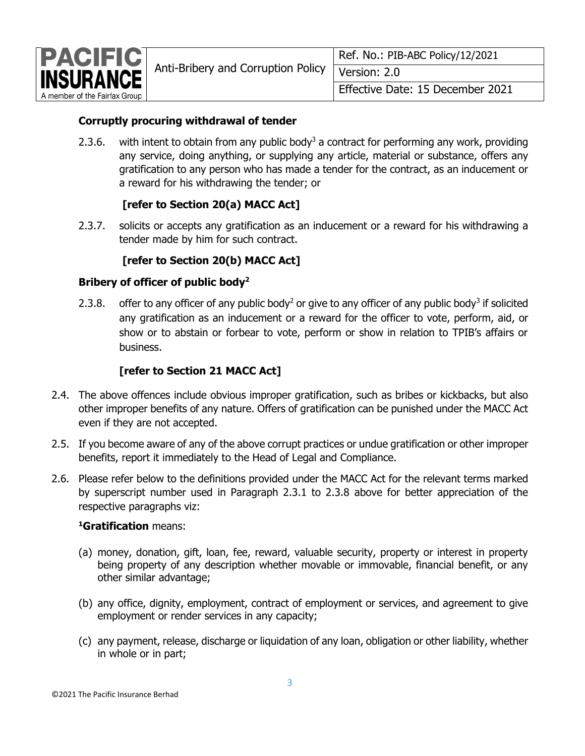

## **Corruptly procuring withdrawal of tender**

2.3.6. with intent to obtain from any public body<sup>3</sup> a contract for performing any work, providing any service, doing anything, or supplying any article, material or substance, offers any gratification to any person who has made a tender for the contract, as an inducement or a reward for his withdrawing the tender; or

## **[refer to Section 20(a) MACC Act]**

2.3.7. solicits or accepts any gratification as an inducement or a reward for his withdrawing a tender made by him for such contract.

## **[refer to Section 20(b) MACC Act]**

## **Bribery of officer of public body<sup>2</sup>**

2.3.8. offer to any officer of any public body<sup>2</sup> or give to any officer of any public body<sup>3</sup> if solicited any gratification as an inducement or a reward for the officer to vote, perform, aid, or show or to abstain or forbear to vote, perform or show in relation to TPIB's affairs or business.

## **[refer to Section 21 MACC Act]**

- 2.4. The above offences include obvious improper gratification, such as bribes or kickbacks, but also other improper benefits of any nature. Offers of gratification can be punished under the MACC Act even if they are not accepted.
- 2.5. If you become aware of any of the above corrupt practices or undue gratification or other improper benefits, report it immediately to the Head of Legal and Compliance.
- 2.6. Please refer below to the definitions provided under the MACC Act for the relevant terms marked by superscript number used in Paragraph 2.3.1 to 2.3.8 above for better appreciation of the respective paragraphs viz:

#### **<sup>1</sup>Gratification** means:

- (a) money, donation, gift, loan, fee, reward, valuable security, property or interest in property being property of any description whether movable or immovable, financial benefit, or any other similar advantage;
- (b) any office, dignity, employment, contract of employment or services, and agreement to give employment or render services in any capacity;
- (c) any payment, release, discharge or liquidation of any loan, obligation or other liability, whether in whole or in part;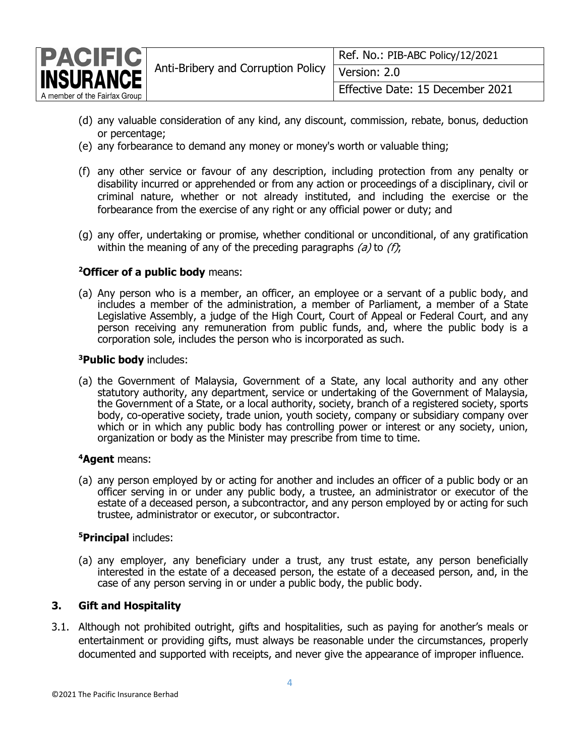

- (d) any valuable consideration of any kind, any discount, commission, rebate, bonus, deduction or percentage;
- (e) any forbearance to demand any money or money's worth or valuable thing;
- (f) any other service or favour of any description, including protection from any penalty or disability incurred or apprehended or from any action or proceedings of a disciplinary, civil or criminal nature, whether or not already instituted, and including the exercise or the forbearance from the exercise of any right or any official power or duty; and
- (g) any offer, undertaking or promise, whether conditional or unconditional, of any gratification within the meaning of any of the preceding paragraphs  $(a)$  to  $(f)$ ;

#### **<sup>2</sup>Officer of a public body** means:

(a) Any person who is a member, an officer, an employee or a servant of a public body, and includes a member of the administration, a member of Parliament, a member of a State Legislative Assembly, a judge of the High Court, Court of Appeal or Federal Court, and any person receiving any remuneration from public funds, and, where the public body is a corporation sole, includes the person who is incorporated as such.

#### **<sup>3</sup>Public body** includes:

(a) the Government of Malaysia, Government of a State, any local authority and any other statutory authority, any department, service or undertaking of the Government of Malaysia, the Government of a State, or a local authority, society, branch of a registered society, sports body, co-operative society, trade union, youth society, company or subsidiary company over which or in which any public body has controlling power or interest or any society, union, organization or body as the Minister may prescribe from time to time.

#### **<sup>4</sup>Agent** means:

(a) any person employed by or acting for another and includes an officer of a public body or an officer serving in or under any public body, a trustee, an administrator or executor of the estate of a deceased person, a subcontractor, and any person employed by or acting for such trustee, administrator or executor, or subcontractor.

#### **<sup>5</sup>Principal** includes:

(a) any employer, any beneficiary under a trust, any trust estate, any person beneficially interested in the estate of a deceased person, the estate of a deceased person, and, in the case of any person serving in or under a public body, the public body.

#### **3. Gift and Hospitality**

3.1. Although not prohibited outright, gifts and hospitalities, such as paying for another's meals or entertainment or providing gifts, must always be reasonable under the circumstances, properly documented and supported with receipts, and never give the appearance of improper influence.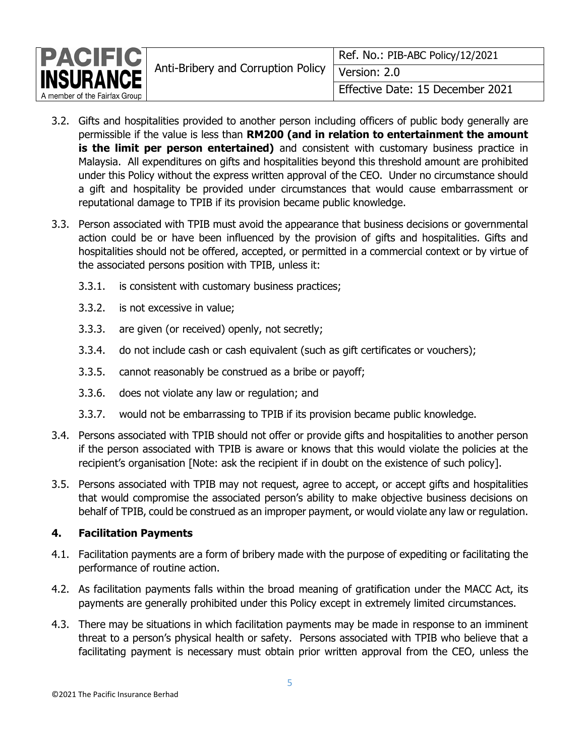

- 3.2. Gifts and hospitalities provided to another person including officers of public body generally are permissible if the value is less than **RM200 (and in relation to entertainment the amount is the limit per person entertained)** and consistent with customary business practice in Malaysia. All expenditures on gifts and hospitalities beyond this threshold amount are prohibited under this Policy without the express written approval of the CEO. Under no circumstance should a gift and hospitality be provided under circumstances that would cause embarrassment or reputational damage to TPIB if its provision became public knowledge.
- 3.3. Person associated with TPIB must avoid the appearance that business decisions or governmental action could be or have been influenced by the provision of gifts and hospitalities. Gifts and hospitalities should not be offered, accepted, or permitted in a commercial context or by virtue of the associated persons position with TPIB, unless it:
	- 3.3.1. is consistent with customary business practices;
	- 3.3.2. is not excessive in value;
	- 3.3.3. are given (or received) openly, not secretly;
	- 3.3.4. do not include cash or cash equivalent (such as gift certificates or vouchers);
	- 3.3.5. cannot reasonably be construed as a bribe or payoff;
	- 3.3.6. does not violate any law or regulation; and
	- 3.3.7. would not be embarrassing to TPIB if its provision became public knowledge.
- 3.4. Persons associated with TPIB should not offer or provide gifts and hospitalities to another person if the person associated with TPIB is aware or knows that this would violate the policies at the recipient's organisation [Note: ask the recipient if in doubt on the existence of such policy].
- 3.5. Persons associated with TPIB may not request, agree to accept, or accept gifts and hospitalities that would compromise the associated person's ability to make objective business decisions on behalf of TPIB, could be construed as an improper payment, or would violate any law or regulation.

## **4. Facilitation Payments**

- 4.1. Facilitation payments are a form of bribery made with the purpose of expediting or facilitating the performance of routine action.
- 4.2. As facilitation payments falls within the broad meaning of gratification under the MACC Act, its payments are generally prohibited under this Policy except in extremely limited circumstances.
- 4.3. There may be situations in which facilitation payments may be made in response to an imminent threat to a person's physical health or safety. Persons associated with TPIB who believe that a facilitating payment is necessary must obtain prior written approval from the CEO, unless the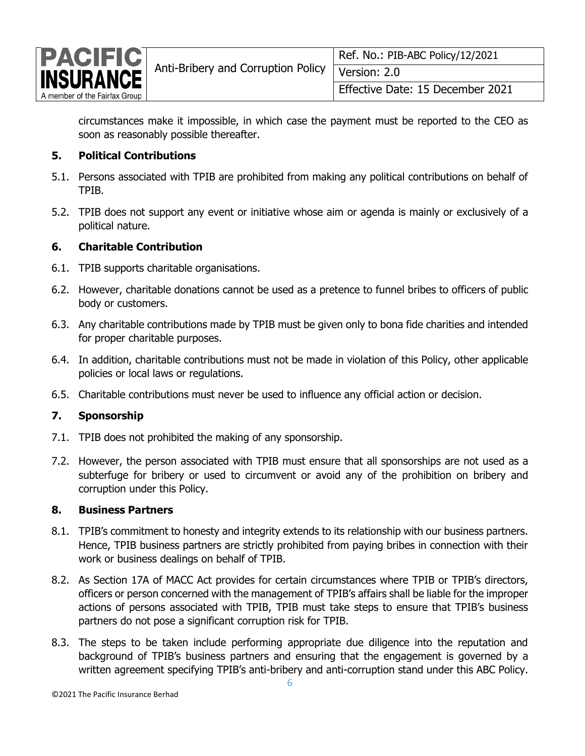

circumstances make it impossible, in which case the payment must be reported to the CEO as soon as reasonably possible thereafter.

#### **5. Political Contributions**

- 5.1. Persons associated with TPIB are prohibited from making any political contributions on behalf of TPIB.
- 5.2. TPIB does not support any event or initiative whose aim or agenda is mainly or exclusively of a political nature.

#### **6. Charitable Contribution**

- 6.1. TPIB supports charitable organisations.
- 6.2. However, charitable donations cannot be used as a pretence to funnel bribes to officers of public body or customers.
- 6.3. Any charitable contributions made by TPIB must be given only to bona fide charities and intended for proper charitable purposes.
- 6.4. In addition, charitable contributions must not be made in violation of this Policy, other applicable policies or local laws or regulations.
- 6.5. Charitable contributions must never be used to influence any official action or decision.

## **7. Sponsorship**

- 7.1. TPIB does not prohibited the making of any sponsorship.
- 7.2. However, the person associated with TPIB must ensure that all sponsorships are not used as a subterfuge for bribery or used to circumvent or avoid any of the prohibition on bribery and corruption under this Policy.

#### **8. Business Partners**

- 8.1. TPIB's commitment to honesty and integrity extends to its relationship with our business partners. Hence, TPIB business partners are strictly prohibited from paying bribes in connection with their work or business dealings on behalf of TPIB.
- 8.2. As Section 17A of MACC Act provides for certain circumstances where TPIB or TPIB's directors, officers or person concerned with the management of TPIB's affairs shall be liable for the improper actions of persons associated with TPIB, TPIB must take steps to ensure that TPIB's business partners do not pose a significant corruption risk for TPIB.
- 8.3. The steps to be taken include performing appropriate due diligence into the reputation and background of TPIB's business partners and ensuring that the engagement is governed by a written agreement specifying TPIB's anti-bribery and anti-corruption stand under this ABC Policy.